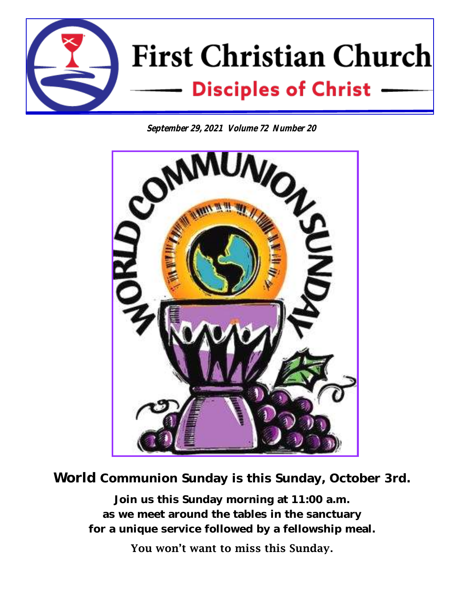

**September 29, 2021 Volume 72 Number 20**



World Communion Sunday is this Sunday, October 3rd.

Join us this Sunday morning at 11:00 a.m. as we meet around the tables in the sanctuary for a unique service followed by a fellowship meal.

You won't want to miss this Sunday.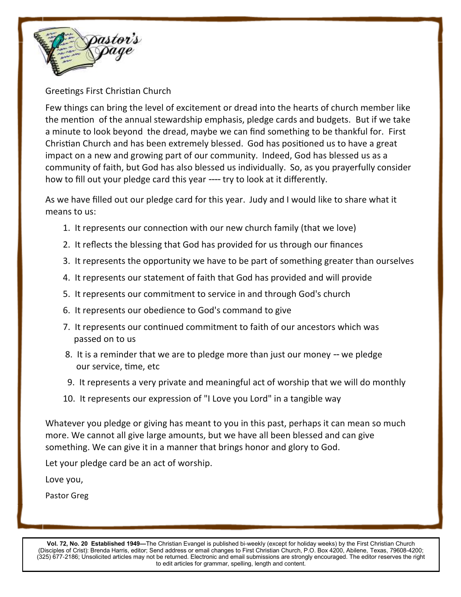

Greetings First Christian Church

Few things can bring the level of excitement or dread into the hearts of church member like the mention of the annual stewardship emphasis, pledge cards and budgets. But if we take a minute to look beyond the dread, maybe we can find something to be thankful for. First Christian Church and has been extremely blessed. God has positioned us to have a great impact on a new and growing part of our community. Indeed, God has blessed us as a community of faith, but God has also blessed us individually. So, as you prayerfully consider how to fill out your pledge card this year ---- try to look at it differently.

As we have filled out our pledge card for this year. Judy and I would like to share what it means to us:

- 1. It represents our connection with our new church family (that we love)
- 2. It reflects the blessing that God has provided for us through our finances
- 3. It represents the opportunity we have to be part of something greater than ourselves
- 4. It represents our statement of faith that God has provided and will provide
- 5. It represents our commitment to service in and through God's church
- 6. It represents our obedience to God's command to give
- 7. It represents our continued commitment to faith of our ancestors which was passed on to us
- 8. It is a reminder that we are to pledge more than just our money -- we pledge our service, time, etc
- 9. It represents a very private and meaningful act of worship that we will do monthly
- 10. It represents our expression of "I Love you Lord" in a tangible way

Whatever you pledge or giving has meant to you in this past, perhaps it can mean so much more. We cannot all give large amounts, but we have all been blessed and can give something. We can give it in a manner that brings honor and glory to God.

Let your pledge card be an act of worship.

Love you,

Pastor Greg

**Vol. 72, No. 20 Established 1949—**The Christian Evangel is published bi-weekly (except for holiday weeks) by the First Christian Church (Disciples of Crist): Brenda Harris, editor; Send address or email changes to First Christian Church, P.O. Box 4200, Abilene, Texas, 79608-4200; (325) 677-2186; Unsolicited articles may not be returned. Electronic and email submissions are strongly encouraged. The editor reserves the right to edit articles for grammar, spelling, length and content.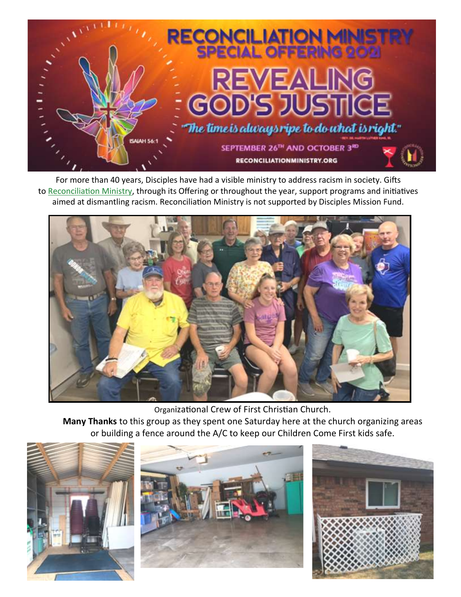

For more than 40 years, Disciples have had a visible ministry to address racism in society. Gifts to [Reconciliation Ministry,](http://www.reconciliationministry.org/) through its Offering or throughout the year, support programs and initiatives aimed at dismantling racism. Reconciliation Ministry is not supported by Disciples Mission Fund.



Organizational Crew of First Christian Church.

**Many Thanks** to this group as they spent one Saturday here at the church organizing areas or building a fence around the A/C to keep our Children Come First kids safe.





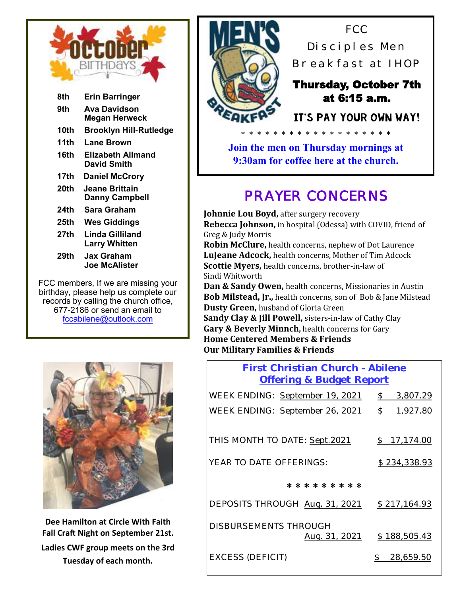

| 8th  | <b>Erin Barringer</b>                   |
|------|-----------------------------------------|
| 9th  | Ava Davidson<br><b>Megan Herweck</b>    |
| 10th | Brooklyn Hill-Rutledge                  |
| 11th | Lane Brown                              |
| 16th | Elizabeth Allmand<br>David Smith        |
| 17th | <b>Daniel McCrory</b>                   |
| 20th | Jeane Brittain<br><b>Danny Campbell</b> |
| 24th | Sara Graham                             |
| 25th | <b>Wes Giddings</b>                     |
| 27th | Linda Gilliland<br><b>Larry Whitten</b> |
| 29th | Jax Graham<br>Joe McAlister             |
|      |                                         |

FCC members, If we are missing your birthday, please help us complete our records by calling the church office, 677-2186 or send an email to fccabilene@outlook.com



**Dee Hamilton at Circle With Faith Fall Craft Night on September 21st. Ladies CWF group meets on the 3rd Tuesday of each month.**



FCC Disciples Men Breakfast at IHOP

#### Thursday, October 7th at 6:15 a.m.

It's pay your own way!

**Join the men on Thursday mornings at 9:30am for coffee here at the church.**

# *PRAYER CONCERNS*

**Johnnie Lou Boyd, after surgery recovery Rebecca Johnson,** in hospital (Odessa) with COVID, friend of Greg & Judy Morris

**Robin McClure,** health concerns, nephew of Dot Laurence **LuJeane Adcock,** health concerns, Mother of Tim Adcock **Scottie Myers,** health concerns, brother-in-law of Sindi Whitworth

**Dan & Sandy Owen,** health concerns, Missionaries in Austin **Bob Milstead, Jr.,** health concerns, son of Bob & Jane Milstead **Dusty Green,** husband of Gloria Green

**Sandy Clay & Jill Powell,** sisters-in-law of Cathy Clay **Gary & Beverly Minnch,** health concerns for Gary **Home Centered Members & Friends Our Military Families & Friends**

#### **First Christian Church - Abilene Offering & Budget Report**

| WEEK ENDING: September 19, 2021 | \$<br>3,807.29            |
|---------------------------------|---------------------------|
| WEEK ENDING: September 26, 2021 | $\mathcal{S}$<br>1,927.80 |
|                                 |                           |
| THIS MONTH TO DATE: Sept.2021   | \$17,174.00               |
| YEAR TO DATE OFFERINGS:         | \$234,338.93              |
| * * * * * * * * *               |                           |
|                                 |                           |
| DEPOSITS THROUGH Aug. 31, 2021  | \$217,164.93              |
| <b>DISBURSEMENTS THROUGH</b>    | \$188,505.43              |
| Aug. 31, 2021                   |                           |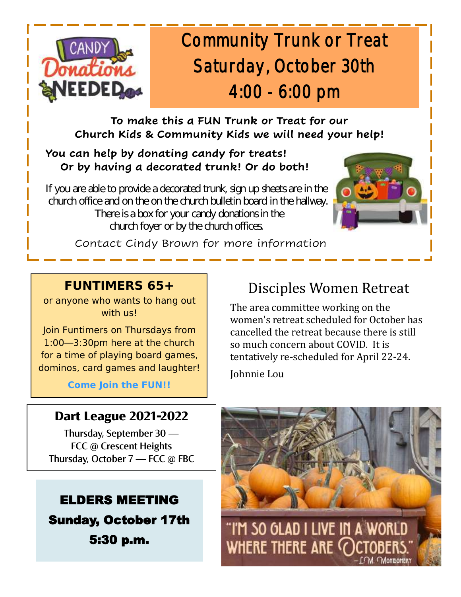

# Community Trunk or Treat Saturday, October 30th 4:00 - 6:00 pm

### **To make this a FUN Trunk or Treat for our Church Kids & Community Kids we will need your help!**

#### **You can help by donating candy for treats! Or by having a decorated trunk! Or do both!**

If you are able to provide a decorated trunk, sign up sheets are in the church office and on the on the church bulletin board in the hallway. There is a box for your candy donations in the church foyer or by the church offices.



Contact Cindy Brown for more information

### **FUNTIMERS 65+**

or anyone who wants to hang out with us!

Join Funtimers on Thursdays from 1:00—3:30pm here at the church for a time of playing board games, dominos, card games and laughter!

**Come Join the FUN!!**

## Disciples Women Retreat

The area committee working on the women's retreat scheduled for October has cancelled the retreat because there is still so much concern about COVID. It is tentatively re-scheduled for April 22-24. Johnnie Lou

## **Dart League 2021-2022**

Thursday, September 30 — FCC @ Crescent Heights Thursday, October 7 — FCC @ FBC

ELDERS MEETING Sunday, October 17th 5:30 p.m.